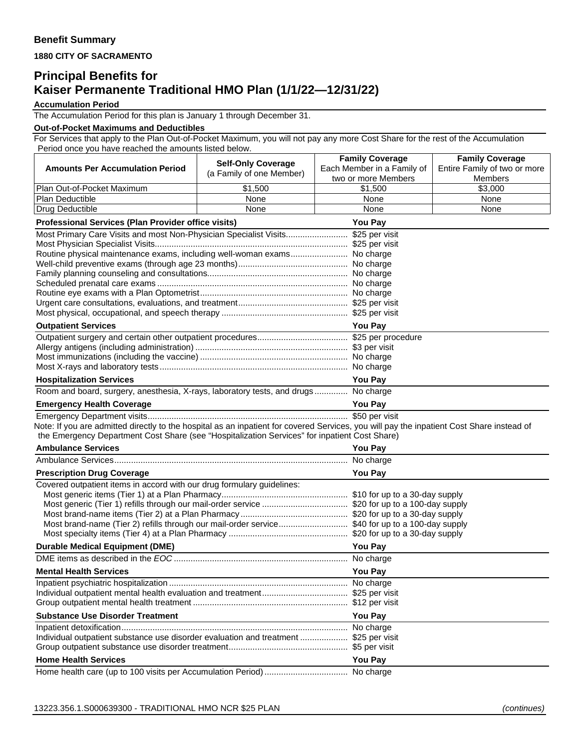**1880 CITY OF SACRAMENTO** 

## **Principal Benefits for Kaiser Permanente Traditional HMO Plan (1/1/22—12/31/22)**

**Accumulation Period**

The Accumulation Period for this plan is January 1 through December 31.

## **Out-of-Pocket Maximums and Deductibles**

For Services that apply to the Plan Out-of-Pocket Maximum, you will not pay any more Cost Share for the rest of the Accumulation Period once you have reached the amounts listed below.

|                                                                                                                                                                                                                                            | <b>Self-Only Coverage</b>                                                                                            | <b>Family Coverage</b>         | <b>Family Coverage</b>       |  |
|--------------------------------------------------------------------------------------------------------------------------------------------------------------------------------------------------------------------------------------------|----------------------------------------------------------------------------------------------------------------------|--------------------------------|------------------------------|--|
| <b>Amounts Per Accumulation Period</b>                                                                                                                                                                                                     | (a Family of one Member)                                                                                             | Each Member in a Family of     | Entire Family of two or more |  |
| Plan Out-of-Pocket Maximum                                                                                                                                                                                                                 | \$1,500                                                                                                              | two or more Members<br>\$1,500 | Members<br>\$3,000           |  |
| Plan Deductible                                                                                                                                                                                                                            | None                                                                                                                 | None                           | None                         |  |
| Drug Deductible                                                                                                                                                                                                                            | None                                                                                                                 | None                           | None                         |  |
| Professional Services (Plan Provider office visits)                                                                                                                                                                                        |                                                                                                                      | <b>You Pay</b>                 |                              |  |
| Most Primary Care Visits and most Non-Physician Specialist Visits \$25 per visit                                                                                                                                                           |                                                                                                                      |                                |                              |  |
|                                                                                                                                                                                                                                            |                                                                                                                      |                                |                              |  |
| Routine physical maintenance exams, including well-woman exams No charge                                                                                                                                                                   |                                                                                                                      |                                |                              |  |
|                                                                                                                                                                                                                                            |                                                                                                                      |                                |                              |  |
|                                                                                                                                                                                                                                            |                                                                                                                      |                                |                              |  |
|                                                                                                                                                                                                                                            |                                                                                                                      |                                |                              |  |
|                                                                                                                                                                                                                                            |                                                                                                                      |                                |                              |  |
|                                                                                                                                                                                                                                            |                                                                                                                      |                                |                              |  |
| <b>Outpatient Services</b><br><b>You Pay</b>                                                                                                                                                                                               |                                                                                                                      |                                |                              |  |
|                                                                                                                                                                                                                                            |                                                                                                                      |                                |                              |  |
|                                                                                                                                                                                                                                            |                                                                                                                      |                                |                              |  |
|                                                                                                                                                                                                                                            |                                                                                                                      |                                |                              |  |
|                                                                                                                                                                                                                                            |                                                                                                                      |                                |                              |  |
| <b>Hospitalization Services</b>                                                                                                                                                                                                            |                                                                                                                      | <b>You Pay</b>                 |                              |  |
| Room and board, surgery, anesthesia, X-rays, laboratory tests, and drugs No charge                                                                                                                                                         |                                                                                                                      |                                |                              |  |
| <b>Emergency Health Coverage</b>                                                                                                                                                                                                           |                                                                                                                      | <b>You Pay</b>                 |                              |  |
|                                                                                                                                                                                                                                            |                                                                                                                      |                                |                              |  |
| Note: If you are admitted directly to the hospital as an inpatient for covered Services, you will pay the inpatient Cost Share instead of<br>the Emergency Department Cost Share (see "Hospitalization Services" for inpatient Cost Share) |                                                                                                                      |                                |                              |  |
| <b>Ambulance Services</b>                                                                                                                                                                                                                  |                                                                                                                      | <b>You Pay</b>                 |                              |  |
|                                                                                                                                                                                                                                            |                                                                                                                      |                                |                              |  |
| <b>Prescription Drug Coverage</b>                                                                                                                                                                                                          | You Pay                                                                                                              |                                |                              |  |
| Covered outpatient items in accord with our drug formulary guidelines:                                                                                                                                                                     |                                                                                                                      |                                |                              |  |
|                                                                                                                                                                                                                                            |                                                                                                                      |                                |                              |  |
| Most generic (Tier 1) refills through our mail-order service  \$20 for up to a 100-day supply                                                                                                                                              |                                                                                                                      |                                |                              |  |
| Most brand-name (Tier 2) refills through our mail-order service \$40 for up to a 100-day supply                                                                                                                                            |                                                                                                                      |                                |                              |  |
|                                                                                                                                                                                                                                            |                                                                                                                      |                                |                              |  |
| <b>Durable Medical Equipment (DME)</b>                                                                                                                                                                                                     |                                                                                                                      | <b>You Pay</b>                 |                              |  |
|                                                                                                                                                                                                                                            |                                                                                                                      |                                |                              |  |
| <b>Mental Health Services</b>                                                                                                                                                                                                              |                                                                                                                      | <b>You Pay</b>                 |                              |  |
|                                                                                                                                                                                                                                            |                                                                                                                      |                                |                              |  |
|                                                                                                                                                                                                                                            |                                                                                                                      |                                |                              |  |
|                                                                                                                                                                                                                                            |                                                                                                                      |                                |                              |  |
| <b>Substance Use Disorder Treatment</b>                                                                                                                                                                                                    | <u> 1989 - Johann Barn, amerikan besteman besteman besteman besteman besteman besteman besteman besteman bestema</u> | <b>You Pay</b>                 |                              |  |
|                                                                                                                                                                                                                                            |                                                                                                                      |                                |                              |  |
| Individual outpatient substance use disorder evaluation and treatment  \$25 per visit                                                                                                                                                      |                                                                                                                      |                                |                              |  |
|                                                                                                                                                                                                                                            |                                                                                                                      |                                |                              |  |
| <b>Home Health Services</b>                                                                                                                                                                                                                |                                                                                                                      | <b>You Pay</b>                 |                              |  |
|                                                                                                                                                                                                                                            |                                                                                                                      |                                |                              |  |